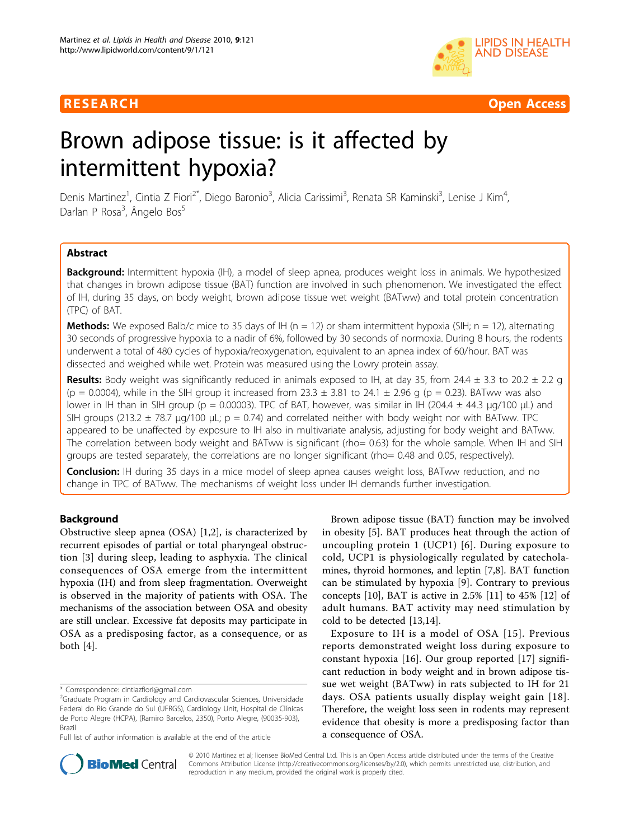

R E S EARCH Open Access

# Brown adipose tissue: is it affected by intermittent hypoxia?

Denis Martinez<sup>1</sup>, Cintia Z Fiori<sup>2\*</sup>, Diego Baronio<sup>3</sup>, Alicia Carissimi<sup>3</sup>, Renata SR Kaminski<sup>3</sup>, Lenise J Kim<sup>4</sup> , Darlan P Rosa<sup>3</sup>, Ângelo Bos<sup>5</sup>

# Abstract

Background: Intermittent hypoxia (IH), a model of sleep apnea, produces weight loss in animals. We hypothesized that changes in brown adipose tissue (BAT) function are involved in such phenomenon. We investigated the effect of IH, during 35 days, on body weight, brown adipose tissue wet weight (BATww) and total protein concentration (TPC) of BAT.

**Methods:** We exposed Balb/c mice to 35 days of IH ( $n = 12$ ) or sham intermittent hypoxia (SIH;  $n = 12$ ), alternating 30 seconds of progressive hypoxia to a nadir of 6%, followed by 30 seconds of normoxia. During 8 hours, the rodents underwent a total of 480 cycles of hypoxia/reoxygenation, equivalent to an apnea index of 60/hour. BAT was dissected and weighed while wet. Protein was measured using the Lowry protein assay.

**Results:** Body weight was significantly reduced in animals exposed to IH, at day 35, from 24.4  $\pm$  3.3 to 20.2  $\pm$  2.2 g (p = 0.0004), while in the SIH group it increased from  $23.3 \pm 3.81$  to  $24.1 \pm 2.96$  g (p = 0.23). BATww was also lower in IH than in SIH group (p = 0.00003). TPC of BAT, however, was similar in IH (204.4  $\pm$  44.3 μg/100 μL) and SIH groups (213.2  $\pm$  78.7 μg/100 μL; p = 0.74) and correlated neither with body weight nor with BATww. TPC appeared to be unaffected by exposure to IH also in multivariate analysis, adjusting for body weight and BATww. The correlation between body weight and BATww is significant (rho= 0.63) for the whole sample. When IH and SIH groups are tested separately, the correlations are no longer significant (rho= 0.48 and 0.05, respectively).

**Conclusion:** IH during 35 days in a mice model of sleep apnea causes weight loss, BATww reduction, and no change in TPC of BATww. The mechanisms of weight loss under IH demands further investigation.

# Background

Obstructive sleep apnea (OSA) [\[1,2](#page-3-0)], is characterized by recurrent episodes of partial or total pharyngeal obstruction [[3\]](#page-3-0) during sleep, leading to asphyxia. The clinical consequences of OSA emerge from the intermittent hypoxia (IH) and from sleep fragmentation. Overweight is observed in the majority of patients with OSA. The mechanisms of the association between OSA and obesity are still unclear. Excessive fat deposits may participate in OSA as a predisposing factor, as a consequence, or as both [[4\]](#page-3-0).

Full list of author information is available at the end of the article

Brown adipose tissue (BAT) function may be involved in obesity [\[5](#page-3-0)]. BAT produces heat through the action of uncoupling protein 1 (UCP1) [[6\]](#page-3-0). During exposure to cold, UCP1 is physiologically regulated by catecholamines, thyroid hormones, and leptin [\[7,8](#page-3-0)]. BAT function can be stimulated by hypoxia [[9](#page-3-0)]. Contrary to previous concepts [\[10](#page-3-0)], BAT is active in 2.5% [[11\]](#page-4-0) to 45% [\[12\]](#page-4-0) of adult humans. BAT activity may need stimulation by cold to be detected [[13,14\]](#page-4-0).

Exposure to IH is a model of OSA [[15](#page-4-0)]. Previous reports demonstrated weight loss during exposure to constant hypoxia [\[16](#page-4-0)]. Our group reported [[17\]](#page-4-0) significant reduction in body weight and in brown adipose tissue wet weight (BATww) in rats subjected to IH for 21 days. OSA patients usually display weight gain [[18\]](#page-4-0). Therefore, the weight loss seen in rodents may represent evidence that obesity is more a predisposing factor than a consequence of OSA.



© 2010 Martinez et al; licensee BioMed Central Ltd. This is an Open Access article distributed under the terms of the Creative Commons Attribution License [\(http://creativecommons.org/licenses/by/2.0](http://creativecommons.org/licenses/by/2.0)), which permits unrestricted use, distribution, and reproduction in any medium, provided the original work is properly cited.

<sup>\*</sup> Correspondence: [cintiazfiori@gmail.com](mailto:cintiazfiori@gmail.com)

<sup>&</sup>lt;sup>2</sup>Graduate Program in Cardiology and Cardiovascular Sciences, Universidade Federal do Rio Grande do Sul (UFRGS), Cardiology Unit, Hospital de Clínicas de Porto Alegre (HCPA), (Ramiro Barcelos, 2350), Porto Alegre, (90035-903), Brazil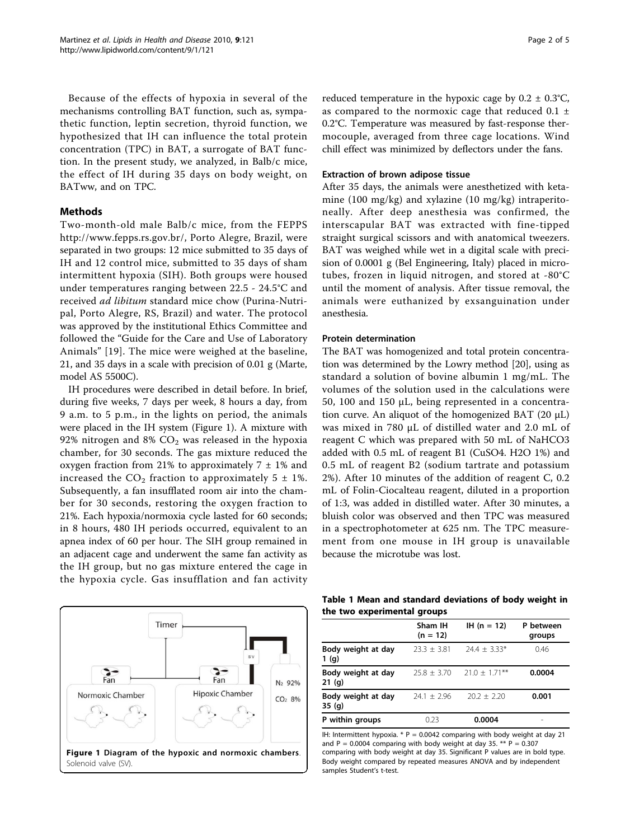<span id="page-1-0"></span>Because of the effects of hypoxia in several of the mechanisms controlling BAT function, such as, sympathetic function, leptin secretion, thyroid function, we hypothesized that IH can influence the total protein concentration (TPC) in BAT, a surrogate of BAT function. In the present study, we analyzed, in Balb/c mice, the effect of IH during 35 days on body weight, on BATww, and on TPC.

# Methods

Two-month-old male Balb/c mice, from the FEPPS <http://www.fepps.rs.gov.br/>, Porto Alegre, Brazil, were separated in two groups: 12 mice submitted to 35 days of IH and 12 control mice, submitted to 35 days of sham intermittent hypoxia (SIH). Both groups were housed under temperatures ranging between 22.5 - 24.5°C and received ad libitum standard mice chow (Purina-Nutripal, Porto Alegre, RS, Brazil) and water. The protocol was approved by the institutional Ethics Committee and followed the "Guide for the Care and Use of Laboratory Animals" [\[19\]](#page-4-0). The mice were weighed at the baseline, 21, and 35 days in a scale with precision of 0.01 g (Marte, model AS 5500C).

IH procedures were described in detail before. In brief, during five weeks, 7 days per week, 8 hours a day, from 9 a.m. to 5 p.m., in the lights on period, the animals were placed in the IH system (Figure 1). A mixture with 92% nitrogen and 8%  $CO<sub>2</sub>$  was released in the hypoxia chamber, for 30 seconds. The gas mixture reduced the oxygen fraction from 21% to approximately  $7 \pm 1$ % and increased the  $CO_2$  fraction to approximately 5  $\pm$  1%. Subsequently, a fan insufflated room air into the chamber for 30 seconds, restoring the oxygen fraction to 21%. Each hypoxia/normoxia cycle lasted for 60 seconds; in 8 hours, 480 IH periods occurred, equivalent to an apnea index of 60 per hour. The SIH group remained in an adjacent cage and underwent the same fan activity as the IH group, but no gas mixture entered the cage in the hypoxia cycle. Gas insufflation and fan activity

Timer Fan N<sub>2</sub> 92% **Hipoxic Chamber** Normoxic Chamber CO<sub>2</sub> 8%

Figure 1 Diagram of the hypoxic and normoxic chambers. Solenoid valve (SV).

reduced temperature in the hypoxic cage by  $0.2 \pm 0.3$ °C, as compared to the normoxic cage that reduced  $0.1 \pm$ 0.2°C. Temperature was measured by fast-response thermocouple, averaged from three cage locations. Wind chill effect was minimized by deflectors under the fans.

### Extraction of brown adipose tissue

After 35 days, the animals were anesthetized with ketamine (100 mg/kg) and xylazine (10 mg/kg) intraperitoneally. After deep anesthesia was confirmed, the interscapular BAT was extracted with fine-tipped straight surgical scissors and with anatomical tweezers. BAT was weighed while wet in a digital scale with precision of 0.0001 g (Bel Engineering, Italy) placed in microtubes, frozen in liquid nitrogen, and stored at -80°C until the moment of analysis. After tissue removal, the animals were euthanized by exsanguination under anesthesia.

### Protein determination

The BAT was homogenized and total protein concentration was determined by the Lowry method [\[20\]](#page-4-0), using as standard a solution of bovine albumin 1 mg/mL. The volumes of the solution used in the calculations were 50, 100 and 150 μL, being represented in a concentration curve. An aliquot of the homogenized BAT  $(20 \mu L)$ was mixed in 780 μL of distilled water and 2.0 mL of reagent C which was prepared with 50 mL of NaHCO3 added with 0.5 mL of reagent B1 (CuSO4. H2O 1%) and 0.5 mL of reagent B2 (sodium tartrate and potassium 2%). After 10 minutes of the addition of reagent C, 0.2 mL of Folin-Ciocalteau reagent, diluted in a proportion of 1:3, was added in distilled water. After 30 minutes, a bluish color was observed and then TPC was measured in a spectrophotometer at 625 nm. The TPC measurement from one mouse in IH group is unavailable because the microtube was lost.

Table 1 Mean and standard deviations of body weight in the two experimental groups

|                              | Sham IH<br>$(n = 12)$ | $IH (n = 12)$    | P between<br>groups |
|------------------------------|-----------------------|------------------|---------------------|
| Body weight at day<br>1(q)   | $23.3 + 3.81$         | $74.4 + 3.33*$   | 0.46                |
| Body weight at day<br>21 (q) | $25.8 \pm 3.70$       | $21.0 + 1.71***$ | 0.0004              |
| Body weight at day<br>35(q)  | $74.1 + 7.96$         | $20.2 \pm 2.20$  | 0.001               |
| P within groups              | 0.23                  | 0.0004           |                     |

IH: Intermittent hypoxia.  $*$  P = 0.0042 comparing with body weight at day 21 and  $P = 0.0004$  comparing with body weight at day 35. \*\*  $P = 0.307$ comparing with body weight at day 35. Significant P values are in bold type. Body weight compared by repeated measures ANOVA and by independent samples Student's t-test.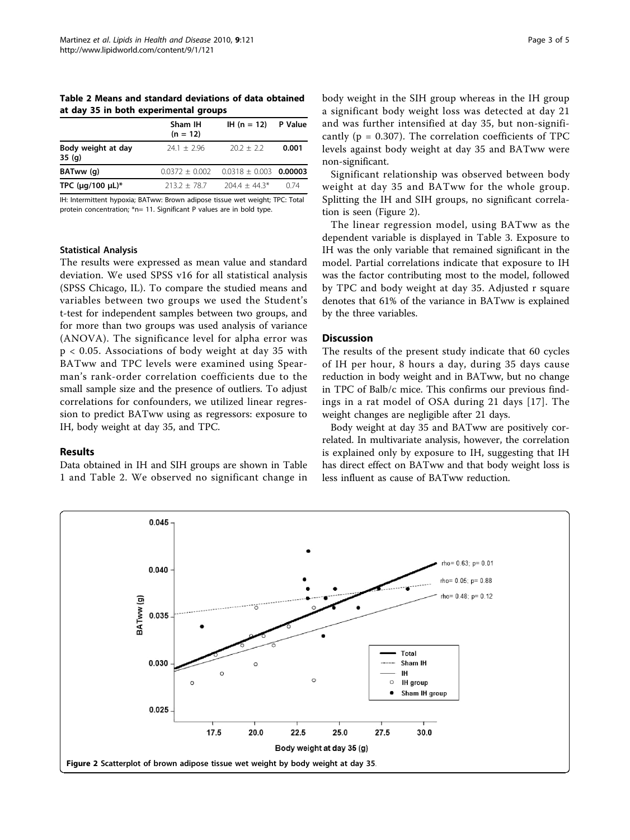<span id="page-2-0"></span>Table 2 Means and standard deviations of data obtained at day 35 in both experimental groups

|                             | Sham IH<br>$(n = 12)$ | IH $(n = 12)$ P Value      |       |  |
|-----------------------------|-----------------------|----------------------------|-------|--|
| Body weight at day<br>35(q) | $24.1 + 2.96$         | $202 + 22$                 | 0.001 |  |
| BATww (g)                   | $0.0372 \pm 0.002$    | $0.0318 \pm 0.003$ 0.00003 |       |  |
| TPC ( $\mu$ g/100 $\mu$ L)* | $7137 + 787$          | $7044 + 443*$              | 0.74  |  |

IH: Intermittent hypoxia; BATww: Brown adipose tissue wet weight; TPC: Total protein concentration; \*n= 11. Significant P values are in bold type.

# Statistical Analysis

The results were expressed as mean value and standard deviation. We used SPSS v16 for all statistical analysis (SPSS Chicago, IL). To compare the studied means and variables between two groups we used the Student's t-test for independent samples between two groups, and for more than two groups was used analysis of variance (ANOVA). The significance level for alpha error was p < 0.05. Associations of body weight at day 35 with BATww and TPC levels were examined using Spearman's rank-order correlation coefficients due to the small sample size and the presence of outliers. To adjust correlations for confounders, we utilized linear regression to predict BATww using as regressors: exposure to IH, body weight at day 35, and TPC.

#### Results

Data obtained in IH and SIH groups are shown in Table [1](#page-1-0) and Table 2. We observed no significant change in body weight in the SIH group whereas in the IH group a significant body weight loss was detected at day 21 and was further intensified at day 35, but non-significantly ( $p = 0.307$ ). The correlation coefficients of TPC levels against body weight at day 35 and BATww were non-significant.

Significant relationship was observed between body weight at day 35 and BATww for the whole group. Splitting the IH and SIH groups, no significant correlation is seen (Figure 2).

The linear regression model, using BATww as the dependent variable is displayed in Table [3.](#page-3-0) Exposure to IH was the only variable that remained significant in the model. Partial correlations indicate that exposure to IH was the factor contributing most to the model, followed by TPC and body weight at day 35. Adjusted r square denotes that 61% of the variance in BATww is explained by the three variables.

# **Discussion**

The results of the present study indicate that 60 cycles of IH per hour, 8 hours a day, during 35 days cause reduction in body weight and in BATww, but no change in TPC of Balb/c mice. This confirms our previous findings in a rat model of OSA during 21 days [[17](#page-4-0)]. The weight changes are negligible after 21 days.

Body weight at day 35 and BATww are positively correlated. In multivariate analysis, however, the correlation is explained only by exposure to IH, suggesting that IH has direct effect on BATww and that body weight loss is less influent as cause of BATww reduction.

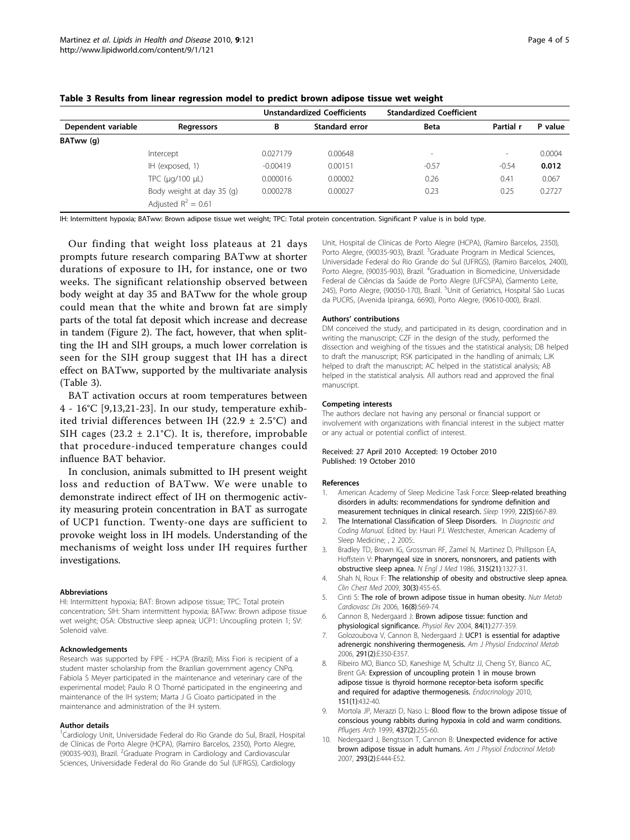|                    |                            |            | <b>Unstandardized Coefficients</b> | <b>Standardized Coefficient</b> |                          |         |
|--------------------|----------------------------|------------|------------------------------------|---------------------------------|--------------------------|---------|
| Dependent variable | Regressors                 | В          | Standard error                     | <b>Beta</b>                     | Partial r                | P value |
| BATww (q)          |                            |            |                                    |                                 |                          |         |
|                    | Intercept                  | 0.027179   | 0.00648                            | $\overline{\phantom{a}}$        | $\overline{\phantom{a}}$ | 0.0004  |
|                    | IH (exposed, 1)            | $-0.00419$ | 0.00151                            | $-0.57$                         | $-0.54$                  | 0.012   |
|                    | TPC ( $\mu$ g/100 $\mu$ L) | 0.000016   | 0.00002                            | 0.26                            | 0.41                     | 0.067   |
|                    | Body weight at day 35 (g)  | 0.000278   | 0.00027                            | 0.23                            | 0.25                     | 0.2727  |
|                    | Adjusted $R^2 = 0.61$      |            |                                    |                                 |                          |         |

<span id="page-3-0"></span>Table 3 Results from linear regression model to predict brown adipose tissue wet weight

IH: Intermittent hypoxia; BATww: Brown adipose tissue wet weight; TPC: Total protein concentration. Significant P value is in bold type.

Our finding that weight loss plateaus at 21 days prompts future research comparing BATww at shorter durations of exposure to IH, for instance, one or two weeks. The significant relationship observed between body weight at day 35 and BATww for the whole group could mean that the white and brown fat are simply parts of the total fat deposit which increase and decrease in tandem (Figure [2](#page-2-0)). The fact, however, that when splitting the IH and SIH groups, a much lower correlation is seen for the SIH group suggest that IH has a direct effect on BATww, supported by the multivariate analysis (Table 3).

BAT activation occurs at room temperatures between 4 - 16°C [9,[13,21](#page-4-0)-[23](#page-4-0)]. In our study, temperature exhibited trivial differences between IH (22.9  $\pm$  2.5°C) and SIH cages (23.2  $\pm$  2.1°C). It is, therefore, improbable that procedure-induced temperature changes could influence BAT behavior.

In conclusion, animals submitted to IH present weight loss and reduction of BATww. We were unable to demonstrate indirect effect of IH on thermogenic activity measuring protein concentration in BAT as surrogate of UCP1 function. Twenty-one days are sufficient to provoke weight loss in IH models. Understanding of the mechanisms of weight loss under IH requires further investigations.

#### Abbreviations

HI: Intermittent hypoxia; BAT: Brown adipose tissue; TPC: Total protein concentration; SIH: Sham intermittent hypoxia; BATww: Brown adipose tissue wet weight; OSA: Obstructive sleep apnea; UCP1: Uncoupling protein 1; SV: Solenoid valve.

#### Acknowledgements

Research was supported by FIPE - HCPA (Brazil); Miss Fiori is recipient of a student master scholarship from the Brazilian government agency CNPq. Fabiola S Meyer participated in the maintenance and veterinary care of the experimental model; Paulo R O Thomé participated in the engineering and maintenance of the IH system; Marta J G Cioato participated in the maintenance and administration of the IH system.

#### Author details

<sup>1</sup>Cardiology Unit, Universidade Federal do Rio Grande do Sul, Brazil, Hospital de Clínicas de Porto Alegre (HCPA), (Ramiro Barcelos, 2350), Porto Alegre, (90035-903), Brazil. <sup>2</sup>Graduate Program in Cardiology and Cardiovascular Sciences, Universidade Federal do Rio Grande do Sul (UFRGS), Cardiology

Unit, Hospital de Clínicas de Porto Alegre (HCPA), (Ramiro Barcelos, 2350), Porto Alegre, (90035-903), Brazil. <sup>3</sup>Graduate Program in Medical Sciences Universidade Federal do Rio Grande do Sul (UFRGS), (Ramiro Barcelos, 2400), Porto Alegre, (90035-903), Brazil. <sup>4</sup>Graduation in Biomedicine, Universidade Federal de Ciências da Saúde de Porto Alegre (UFCSPA), (Sarmento Leite, 245), Porto Alegre, (90050-170), Brazil. <sup>5</sup>Unit of Geriatrics, Hospital São Lucas da PUCRS, (Avenida Ipiranga, 6690), Porto Alegre, (90610-000), Brazil.

#### Authors' contributions

DM conceived the study, and participated in its design, coordination and in writing the manuscript; CZF in the design of the study, performed the dissection and weighing of the tissues and the statistical analysis; DB helped to draft the manuscript; RSK participated in the handling of animals; LJK helped to draft the manuscript; AC helped in the statistical analysis; AB helped in the statistical analysis. All authors read and approved the final manuscript.

#### Competing interests

The authors declare not having any personal or financial support or involvement with organizations with financial interest in the subject matter or any actual or potential conflict of interest.

#### Received: 27 April 2010 Accepted: 19 October 2010 Published: 19 October 2010

#### References

- 1. American Academy of Sleep Medicine Task Force: [Sleep-related breathing](http://www.ncbi.nlm.nih.gov/pubmed/10450601?dopt=Abstract) [disorders in adults: recommendations for syndrome definition and](http://www.ncbi.nlm.nih.gov/pubmed/10450601?dopt=Abstract) [measurement techniques in clinical research.](http://www.ncbi.nlm.nih.gov/pubmed/10450601?dopt=Abstract) Sleep 1999, 22(5):667-89.
- 2. The International Classification of Sleep Disorders. In Diagnostic and Coding Manual. Edited by: Hauri PJ. Westchester, American Academy of Sleep Medicine; , 2 2005;
- 3. Bradley TD, Brown IG, Grossman RF, Zamel N, Martinez D, Phillipson EA, Hoffstein V: [Pharyngeal size in snorers, nonsnorers, and patients with](http://www.ncbi.nlm.nih.gov/pubmed/3773955?dopt=Abstract) [obstructive sleep apnea.](http://www.ncbi.nlm.nih.gov/pubmed/3773955?dopt=Abstract) N Engl J Med 1986, 315(21):1327-31.
- 4. Shah N, Roux F: [The relationship of obesity and obstructive sleep apnea.](http://www.ncbi.nlm.nih.gov/pubmed/19700044?dopt=Abstract) Clin Chest Med 2009, 30(3):455-65.
- 5. Cinti S: [The role of brown adipose tissue in human obesity.](http://www.ncbi.nlm.nih.gov/pubmed/17113764?dopt=Abstract) Nutr Metab Cardiovasc Dis 2006, 16(8):569-74.
- 6. Cannon B, Nedergaard J: [Brown adipose tissue: function and](http://www.ncbi.nlm.nih.gov/pubmed/14715917?dopt=Abstract) [physiological significance.](http://www.ncbi.nlm.nih.gov/pubmed/14715917?dopt=Abstract) Physiol Rev 2004, 84(1):277-359.
- 7. Golozoubova V, Cannon B, Nedergaard J: [UCP1 is essential for adaptive](http://www.ncbi.nlm.nih.gov/pubmed/16595854?dopt=Abstract) [adrenergic nonshivering thermogenesis.](http://www.ncbi.nlm.nih.gov/pubmed/16595854?dopt=Abstract) Am J Physiol Endocrinol Metab 2006, 291(2):E350-E357.
- Ribeiro MO, Bianco SD, Kaneshige M, Schultz JJ, Cheng SY, Bianco AC, Brent GA: [Expression of uncoupling protein 1 in mouse brown](http://www.ncbi.nlm.nih.gov/pubmed/19906816?dopt=Abstract) [adipose tissue is thyroid hormone receptor-beta isoform specific](http://www.ncbi.nlm.nih.gov/pubmed/19906816?dopt=Abstract) [and required for adaptive thermogenesis.](http://www.ncbi.nlm.nih.gov/pubmed/19906816?dopt=Abstract) Endocrinology 2010, 151(1):432-40.
- Mortola JP, Merazzi D, Naso L: [Blood flow to the brown adipose tissue of](http://www.ncbi.nlm.nih.gov/pubmed/9929567?dopt=Abstract) [conscious young rabbits during hypoxia in cold and warm conditions.](http://www.ncbi.nlm.nih.gov/pubmed/9929567?dopt=Abstract) Pflugers Arch 1999, 437(2):255-60.
- 10. Nedergaard J, Bengtsson T, Cannon B: [Unexpected evidence for active](http://www.ncbi.nlm.nih.gov/pubmed/17473055?dopt=Abstract) [brown adipose tissue in adult humans.](http://www.ncbi.nlm.nih.gov/pubmed/17473055?dopt=Abstract) Am J Physiol Endocrinol Metab 2007, 293(2):E444-E52.